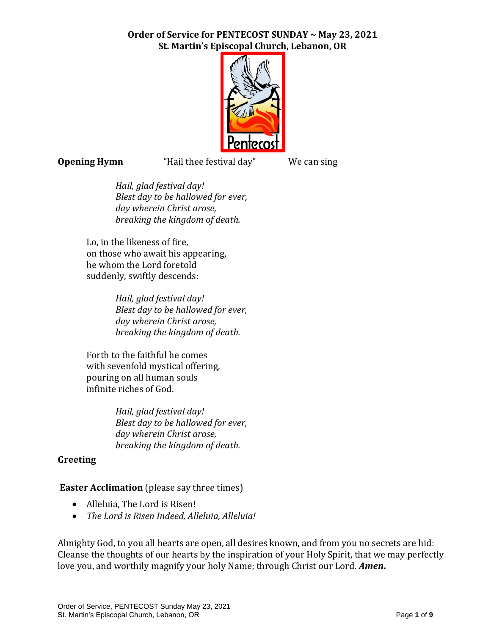# **Order of Service for PENTECOST SUNDAY ~ May 23, 2021 St. Martin's Episcopal Church, Lebanon, OR**



**Opening Hymn** "Hail thee festival day" We can sing

*Hail, glad festival day! Blest day to be hallowed for ever, day wherein Christ arose, breaking the kingdom of death.*

Lo, in the likeness of fire, on those who await his appearing, he whom the Lord foretold suddenly, swiftly descends:

> *Hail, glad festival day! Blest day to be hallowed for ever, day wherein Christ arose, breaking the kingdom of death.*

Forth to the faithful he comes with sevenfold mystical offering, pouring on all human souls infinite riches of God.

> *Hail, glad festival day! Blest day to be hallowed for ever, day wherein Christ arose, breaking the kingdom of death.*

# **Greeting**

**Easter Acclimation** (please say three times)

- Alleluia, The Lord is Risen!
- *The Lord is Risen Indeed, Alleluia, Alleluia!*

Almighty God, to you all hearts are open, all desires known, and from you no secrets are hid: Cleanse the thoughts of our hearts by the inspiration of your Holy Spirit, that we may perfectly love you, and worthily magnify your holy Name; through Christ our Lord. *Amen***.**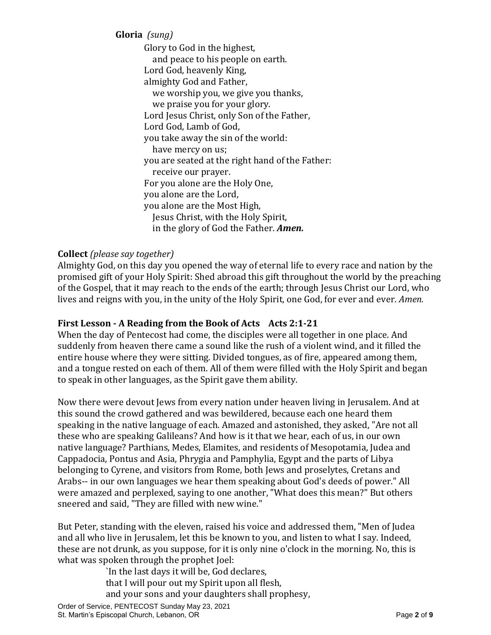**Gloria** *(sung)*  Glory to God in the highest, and peace to his people on earth. Lord God, heavenly King, almighty God and Father, we worship you, we give you thanks, we praise you for your glory. Lord Jesus Christ, only Son of the Father, Lord God, Lamb of God, you take away the sin of the world: have mercy on us; you are seated at the right hand of the Father: receive our prayer. For you alone are the Holy One, you alone are the Lord, you alone are the Most High, Jesus Christ, with the Holy Spirit, in the glory of God the Father. *Amen.*

### **Collect** *(please say together)*

Almighty God, on this day you opened the way of eternal life to every race and nation by the promised gift of your Holy Spirit: Shed abroad this gift throughout the world by the preaching of the Gospel, that it may reach to the ends of the earth; through Jesus Christ our Lord, who lives and reigns with you, in the unity of the Holy Spirit, one God, for ever and ever. *Amen.*

## **First Lesson - A Reading from the Book of Acts [Acts 2:1-21](https://lectionarypage.net/YearB_RCL/Pentecost/BPentDay_RCL.html#ot1)**

When the day of Pentecost had come, the disciples were all together in one place. And suddenly from heaven there came a sound like the rush of a violent wind, and it filled the entire house where they were sitting. Divided tongues, as of fire, appeared among them, and a tongue rested on each of them. All of them were filled with the Holy Spirit and began to speak in other languages, as the Spirit gave them ability.

Now there were devout Jews from every nation under heaven living in Jerusalem. And at this sound the crowd gathered and was bewildered, because each one heard them speaking in the native language of each. Amazed and astonished, they asked, "Are not all these who are speaking Galileans? And how is it that we hear, each of us, in our own native language? Parthians, Medes, Elamites, and residents of Mesopotamia, Judea and Cappadocia, Pontus and Asia, Phrygia and Pamphylia, Egypt and the parts of Libya belonging to Cyrene, and visitors from Rome, both Jews and proselytes, Cretans and Arabs-- in our own languages we hear them speaking about God's deeds of power." All were amazed and perplexed, saying to one another, "What does this mean?" But others sneered and said, "They are filled with new wine."

But Peter, standing with the eleven, raised his voice and addressed them, "Men of Judea and all who live in Jerusalem, let this be known to you, and listen to what I say. Indeed, these are not drunk, as you suppose, for it is only nine o'clock in the morning. No, this is what was spoken through the prophet Joel:

> `In the last days it will be, God declares, that I will pour out my Spirit upon all flesh, and your sons and your daughters shall prophesy,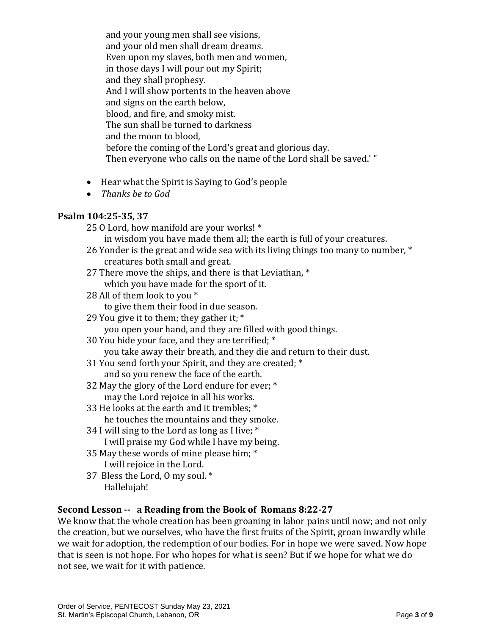and your young men shall see visions, and your old men shall dream dreams. Even upon my slaves, both men and women, in those days I will pour out my Spirit; and they shall prophesy. And I will show portents in the heaven above and signs on the earth below, blood, and fire, and smoky mist. The sun shall be turned to darkness and the moon to blood, before the coming of the Lord's great and glorious day. Then everyone who calls on the name of the Lord shall be saved.' "

- Hear what the Spirit is Saying to God's people
- *Thanks be to God*

# **Psalm 104:25-35, 37**

- 25 O Lord, how manifold are your works! \* in wisdom you have made them all; the earth is full of your creatures.
- 26 Yonder is the great and wide sea with its living things too many to number, \* creatures both small and great.
- 27 There move the ships, and there is that Leviathan,  $*$ which you have made for the sport of it.
- 28 All of them look to you \* to give them their food in due season.
- 29 You give it to them; they gather it; \* you open your hand, and they are filled with good things.
- 30 You hide your face, and they are terrified; \* you take away their breath, and they die and return to their dust.
- 31 You send forth your Spirit, and they are created; \* and so you renew the face of the earth.
- 32 May the glory of the Lord endure for ever; \* may the Lord rejoice in all his works.
- 33 He looks at the earth and it trembles; \* he touches the mountains and they smoke.
- 34 I will sing to the Lord as long as I live; \* I will praise my God while I have my being.
- 35 May these words of mine please him; \* I will rejoice in the Lord.
- 37 Bless the Lord, O my soul. \* Hallelujah!

## **Second Lesson -- a Reading from the Book of [Romans 8:22-27](https://lectionarypage.net/YearB_RCL/Pentecost/BPentDay_RCL.html#nt1)**

We know that the whole creation has been groaning in labor pains until now; and not only the creation, but we ourselves, who have the first fruits of the Spirit, groan inwardly while we wait for adoption, the redemption of our bodies. For in hope we were saved. Now hope that is seen is not hope. For who hopes for what is seen? But if we hope for what we do not see, we wait for it with patience.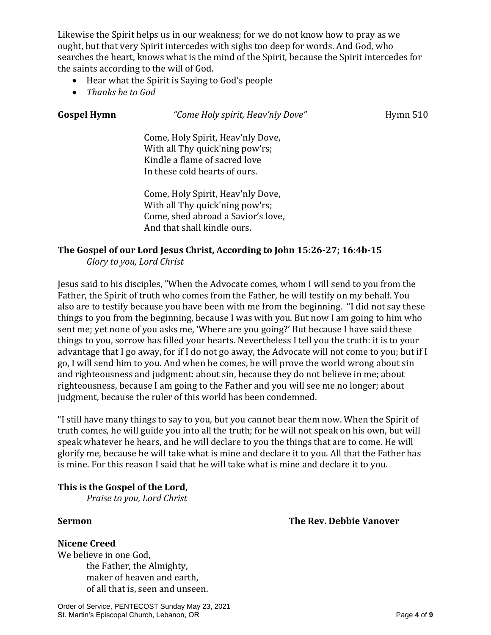Likewise the Spirit helps us in our weakness; for we do not know how to pray as we ought, but that very Spirit intercedes with sighs too deep for words. And God, who searches the heart, knows what is the mind of the Spirit, because the Spirit intercedes for the saints according to the will of God.

- Hear what the Spirit is Saying to God's people
- *Thanks be to God*

**Gospel Hymn** *"Come Holy spirit, Heav'nly Dove"* Hymn 510

Come, Holy Spirit, Heav'nly Dove, With all Thy quick'ning pow'rs; Kindle a flame of sacred love In these cold hearts of ours.

Come, Holy Spirit, Heav'nly Dove, With all Thy quick'ning pow'rs; Come, shed abroad a Savior's love, And that shall kindle ours.

### **The Gospel of our Lord Jesus Christ, According to John 15:26-27; 16:4b-15** *Glory to you, Lord Christ*

Jesus said to his disciples, "When the Advocate comes, whom I will send to you from the Father, the Spirit of truth who comes from the Father, he will testify on my behalf. You also are to testify because you have been with me from the beginning. "I did not say these things to you from the beginning, because I was with you. But now I am going to him who sent me; yet none of you asks me, 'Where are you going?' But because I have said these things to you, sorrow has filled your hearts. Nevertheless I tell you the truth: it is to your advantage that I go away, for if I do not go away, the Advocate will not come to you; but if I go, I will send him to you. And when he comes, he will prove the world wrong about sin and righteousness and judgment: about sin, because they do not believe in me; about righteousness, because I am going to the Father and you will see me no longer; about judgment, because the ruler of this world has been condemned.

"I still have many things to say to you, but you cannot bear them now. When the Spirit of truth comes, he will guide you into all the truth; for he will not speak on his own, but will speak whatever he hears, and he will declare to you the things that are to come. He will glorify me, because he will take what is mine and declare it to you. All that the Father has is mine. For this reason I said that he will take what is mine and declare it to you.

## **This is the Gospel of the Lord,**

*Praise to you, Lord Christ*

## **Nicene Creed**

We believe in one God, the Father, the Almighty, maker of heaven and earth, of all that is, seen and unseen.

Order of Service, PENTECOST Sunday May 23, 2021 St. Martin's Episcopal Church, Lebanon, OR **Page 4** of **9** Page 4 of **9** 

### **Sermon The Rev. Debbie Vanover**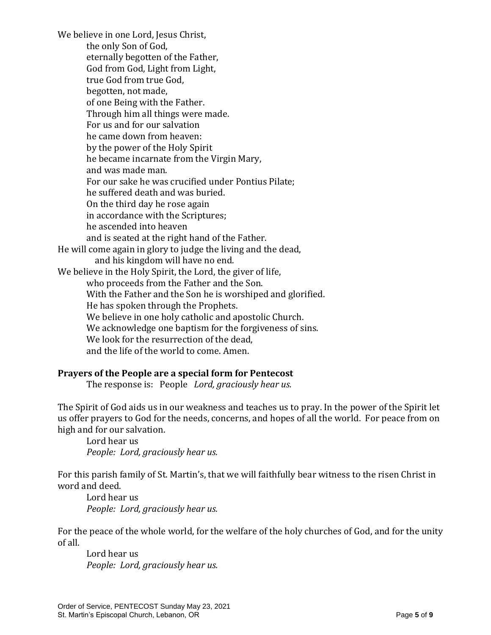We believe in one Lord, Jesus Christ, the only Son of God, eternally begotten of the Father, God from God, Light from Light, true God from true God, begotten, not made, of one Being with the Father. Through him all things were made. For us and for our salvation he came down from heaven: by the power of the Holy Spirit he became incarnate from the Virgin Mary, and was made man. For our sake he was crucified under Pontius Pilate; he suffered death and was buried. On the third day he rose again in accordance with the Scriptures; he ascended into heaven and is seated at the right hand of the Father. He will come again in glory to judge the living and the dead, and his kingdom will have no end. We believe in the Holy Spirit, the Lord, the giver of life, who proceeds from the Father and the Son. With the Father and the Son he is worshiped and glorified. He has spoken through the Prophets. We believe in one holy catholic and apostolic Church. We acknowledge one baptism for the forgiveness of sins. We look for the resurrection of the dead, and the life of the world to come. Amen.

## **Prayers of the People are a special form for Pentecost**

The response is: People *Lord, graciously hear us.*

The Spirit of God aids us in our weakness and teaches us to pray. In the power of the Spirit let us offer prayers to God for the needs, concerns, and hopes of all the world. For peace from on high and for our salvation.

Lord hear us *People: Lord, graciously hear us.*

For this parish family of St. Martin's, that we will faithfully bear witness to the risen Christ in word and deed.

Lord hear us *People: Lord, graciously hear us.*

For the peace of the whole world, for the welfare of the holy churches of God, and for the unity of all.

Lord hear us *People: Lord, graciously hear us.*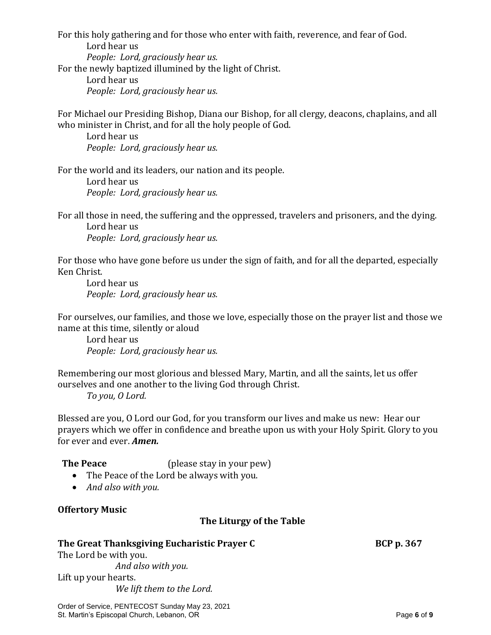For this holy gathering and for those who enter with faith, reverence, and fear of God. Lord hear us *People: Lord, graciously hear us.* For the newly baptized illumined by the light of Christ. Lord hear us *People: Lord, graciously hear us.*

For Michael our Presiding Bishop, Diana our Bishop, for all clergy, deacons, chaplains, and all who minister in Christ, and for all the holy people of God.

Lord hear us *People: Lord, graciously hear us.*

For the world and its leaders, our nation and its people. Lord hear us *People: Lord, graciously hear us.*

For all those in need, the suffering and the oppressed, travelers and prisoners, and the dying. Lord hear us *People: Lord, graciously hear us.*

For those who have gone before us under the sign of faith, and for all the departed, especially Ken Christ.

Lord hear us *People: Lord, graciously hear us.*

For ourselves, our families, and those we love, especially those on the prayer list and those we name at this time, silently or aloud

Lord hear us *People: Lord, graciously hear us.*

Remembering our most glorious and blessed Mary, Martin, and all the saints, let us offer ourselves and one another to the living God through Christ.

*To you, O Lord.*

Blessed are you, O Lord our God, for you transform our lives and make us new: Hear our prayers which we offer in confidence and breathe upon us with your Holy Spirit. Glory to you for ever and ever. *Amen.*

**The Peace** (please stay in your pew)

- The Peace of the Lord be always with you.
- *And also with you.*

## **Offertory Music**

## **The Liturgy of the Table**

## The Great Thanksgiving Eucharistic Prayer C BCP p. 367

The Lord be with you. *And also with you.* Lift up your hearts.

*We lift them to the Lord.*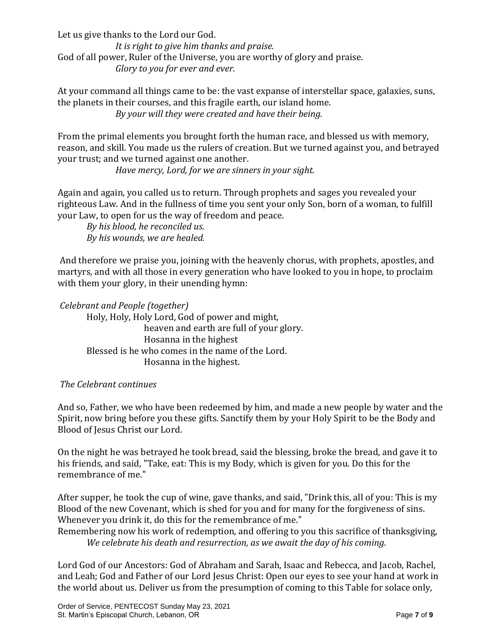Let us give thanks to the Lord our God.

 *It is right to give him thanks and praise.* God of all power, Ruler of the Universe, you are worthy of glory and praise. *Glory to you for ever and ever.*

At your command all things came to be: the vast expanse of interstellar space, galaxies, suns, the planets in their courses, and this fragile earth, our island home. *By your will they were created and have their being.*

From the primal elements you brought forth the human race, and blessed us with memory, reason, and skill. You made us the rulers of creation. But we turned against you, and betrayed your trust; and we turned against one another.

*Have mercy, Lord, for we are sinners in your sight.*

Again and again, you called us to return. Through prophets and sages you revealed your righteous Law. And in the fullness of time you sent your only Son, born of a woman, to fulfill your Law, to open for us the way of freedom and peace.

*By his blood, he reconciled us. By his wounds, we are healed.*

And therefore we praise you, joining with the heavenly chorus, with prophets, apostles, and martyrs, and with all those in every generation who have looked to you in hope, to proclaim with them your glory, in their unending hymn:

*Celebrant and People (together)* Holy, Holy, Holy Lord, God of power and might, heaven and earth are full of your glory. Hosanna in the highest Blessed is he who comes in the name of the Lord. Hosanna in the highest.

# *The Celebrant continues*

And so, Father, we who have been redeemed by him, and made a new people by water and the Spirit, now bring before you these gifts. Sanctify them by your Holy Spirit to be the Body and Blood of Jesus Christ our Lord.

On the night he was betrayed he took bread, said the blessing, broke the bread, and gave it to his friends, and said, "Take, eat: This is my Body, which is given for you. Do this for the remembrance of me."

After supper, he took the cup of wine, gave thanks, and said, "Drink this, all of you: This is my Blood of the new Covenant, which is shed for you and for many for the forgiveness of sins. Whenever you drink it, do this for the remembrance of me."

Remembering now his work of redemption, and offering to you this sacrifice of thanksgiving, *We celebrate his death and resurrection, as we await the day of his coming.*

Lord God of our Ancestors: God of Abraham and Sarah, Isaac and Rebecca, and Jacob, Rachel, and Leah; God and Father of our Lord Jesus Christ: Open our eyes to see your hand at work in the world about us. Deliver us from the presumption of coming to this Table for solace only,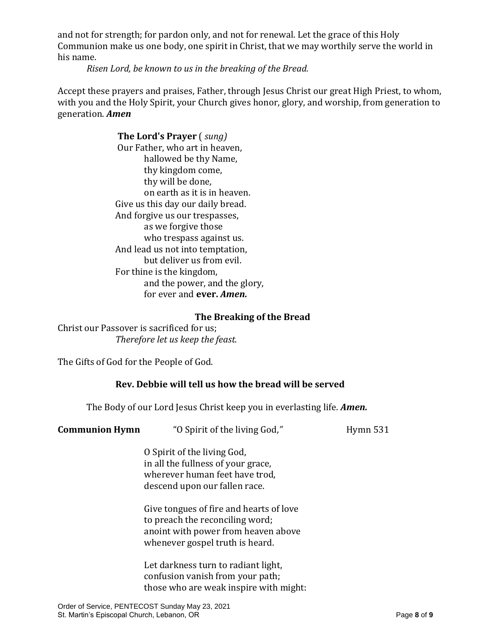and not for strength; for pardon only, and not for renewal. Let the grace of this Holy Communion make us one body, one spirit in Christ, that we may worthily serve the world in his name.

*Risen Lord, be known to us in the breaking of the Bread.*

Accept these prayers and praises, Father, through Jesus Christ our great High Priest, to whom, with you and the Holy Spirit, your Church gives honor, glory, and worship, from generation to generation. *Amen*

# **The Lord's Prayer** ( *sung)* Our Father, who art in heaven, hallowed be thy Name, thy kingdom come, thy will be done, on earth as it is in heaven. Give us this day our daily bread. And forgive us our trespasses, as we forgive those who trespass against us. And lead us not into temptation, but deliver us from evil. For thine is the kingdom, and the power, and the glory, for ever and **ever.** *Amen.*

### **The Breaking of the Bread**

Christ our Passover is sacrificed for us; *Therefore let us keep the feast.*

The Gifts of God for the People of God.

## **Rev. Debbie will tell us how the bread will be served**

The Body of our Lord Jesus Christ keep you in everlasting life. *Amen.*

| <b>Communion Hymn</b> | "O Spirit of the living God,"                                                                                                                        | Hymn 531 |
|-----------------------|------------------------------------------------------------------------------------------------------------------------------------------------------|----------|
|                       | O Spirit of the living God,<br>in all the fullness of your grace,<br>wherever human feet have trod,<br>descend upon our fallen race.                 |          |
|                       | Give tongues of fire and hearts of love<br>to preach the reconciling word;<br>anoint with power from heaven above<br>whenever gospel truth is heard. |          |
|                       | Lot doubmose turns to rediont light                                                                                                                  |          |

Let darkness turn to radiant light, confusion vanish from your path; those who are weak inspire with might: